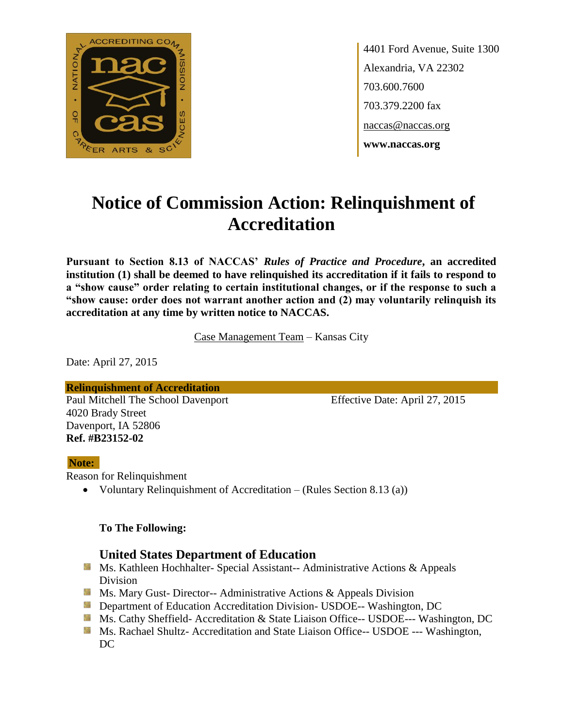

4401 Ford Avenue, Suite 1300 Alexandria, VA 22302 703.600.7600 703.379.2200 fax naccas@naccas.org **www.naccas.org**

# **Notice of Commission Action: Relinquishment of Accreditation**

**Pursuant to Section 8.13 of NACCAS'** *Rules of Practice and Procedure***, an accredited institution (1) shall be deemed to have relinquished its accreditation if it fails to respond to a "show cause" order relating to certain institutional changes, or if the response to such a "show cause: order does not warrant another action and (2) may voluntarily relinquish its accreditation at any time by written notice to NACCAS.**

Case Management Team – Kansas City

Date: April 27, 2015

**Relinquishment of Accreditation** Paul Mitchell The School Davenport Effective Date: April 27, 2015 4020 Brady Street Davenport, IA 52806 **Ref. #B23152-02**

### **Note:**

Reason for Relinquishment

Voluntary Relinquishment of Accreditation – (Rules Section 8.13 (a))

### **To The Following:**

## **United States Department of Education**

- **Ms. Kathleen Hochhalter- Special Assistant-- Administrative Actions & Appeals** Division
- **Ms. Mary Gust- Director-- Administrative Actions & Appeals Division**
- **Department of Education Accreditation Division- USDOE-- Washington, DC**
- Ms. Cathy Sheffield- Accreditation & State Liaison Office-- USDOE--- Washington, DC
- **MS. Rachael Shultz- Accreditation and State Liaison Office-- USDOE --- Washington,**  $DC$